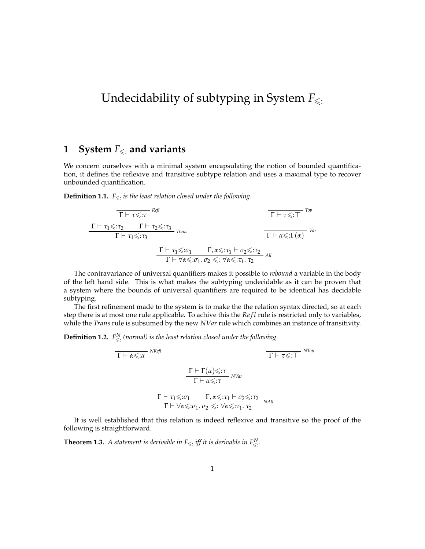# Undecidability of subtyping in System  $F_{\leq \frac{1}{2}}$

### **1** System  $F_{\leq 1}$  and variants

We concern ourselves with a minimal system encapsulating the notion of bounded quantification, it defines the reflexive and transitive subtype relation and uses a maximal type to recover unbounded quantification.

**Definition 1.1.**  $F_{\leq \cdot}$  is the least relation closed under the following.

$$
\frac{\Gamma \vdash \tau \leq \tau^{\text{Ref}}}{\Gamma \vdash \tau_1 \leq \tau_2} \frac{\Gamma \vdash \tau_2 \leq \tau_3}{\Gamma \vdash \tau_1 \leq \tau_3} \text{Trans}
$$
\n
$$
\frac{\Gamma \vdash \tau_1 \leq \tau_2}{\Gamma \vdash \tau_1 \leq \tau_3} \frac{\Gamma \vdash \tau_1 \leq \tau_1 \quad \Gamma, \alpha \leq \tau_1 \vdash \sigma_2 \leq \tau_2}{\Gamma \vdash \forall \alpha \leq \tau_1, \sigma_2 \leq \tau_1 \forall \alpha \leq \tau_1, \tau_2} \text{ and}
$$

The contravariance of universal quantifiers makes it possible to *rebound* a variable in the body of the left hand side. This is what makes the subtyping undecidable as it can be proven that a system where the bounds of universal quantifiers are required to be identical has decidable subtyping.

The first refinement made to the system is to make the the relation syntax directed, so at each step there is at most one rule applicable. To achive this the *Refl* rule is restricted only to variables, while the *Trans* rule is subsumed by the new *NVar* rule which combines an instance of transitivity.

**Definition 1.2.**  $F_{\leqslant}^N$  (normal) is the least relation closed under the following.

*NRefl* Γ ` *α*6:*α NTop* Γ ` *τ*6:> Γ ` Γ(*α*)6:*τ NVar* Γ ` *α*6:*τ* <sup>Γ</sup> ` *<sup>τ</sup>*16:*σ*<sup>1</sup> <sup>Γ</sup>, *<sup>α</sup>*6:*τ*<sup>1</sup> ` *<sup>σ</sup>*26:*τ*<sup>2</sup> *NAll* <sup>Γ</sup> ` ∀*α*6:*σ*1. *<sup>σ</sup>*<sup>2</sup> <sup>6</sup>: <sup>∀</sup>*α*6:*τ*1. *<sup>τ</sup>*<sup>2</sup>

It is well established that this relation is indeed reflexive and transitive so the proof of the following is straightforward.

**Theorem 1.3.** A statement is derivable in  $F_{\leq \cdot}$  iff it is derivable in  $F_{\leq \cdot}^N$ .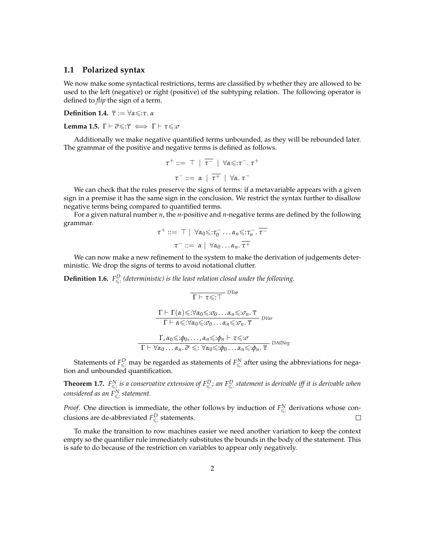#### **1.1 Polarized syntax**

We now make some syntactical restrictions, terms are classified by whether they are allowed to be used to the left (negative) or right (positive) of the subtyping relation. The following operator is defined to *flip* the sign of a term.

**Definition 1.4.**  $\bar{\tau}$  :=  $\forall \alpha \leq \tau$ . *α* 

**Lemma 1.5.**  $\Gamma \vdash \overline{\sigma} \leq \overline{\tau} \iff \Gamma \vdash \tau \leq \overline{\sigma}$ 

Additionally we make negative quantified terms unbounded, as they will be rebounded later. The grammar of the positive and negative terms is defined as follows.

$$
\tau^+ ::= \top | \overline{\tau^-} | \forall \alpha \leq \tau^-, \tau^+
$$

$$
\tau^- ::= \alpha | \overline{\tau^+} | \forall \alpha, \tau^-
$$

We can check that the rules preserve the signs of terms: if a metavariable appears with a given sign in a premise it has the same sign in the conclusion. We restrict the syntax further to disallow negative terms being compared to quantified terms.

For a given natural number *n*, the *n*-positive and *n*-negative terms are defined by the following grammar.

$$
\tau^+ ::= \top | \forall \alpha_0 \leq \tau_0^- \dots \alpha_n \leq \tau_n^- \cdot \overline{\tau^-}
$$
  

$$
\tau^- ::= \alpha | \forall \alpha_0 \dots \alpha_n \cdot \overline{\tau^+}
$$

We can now make a new refinement to the system to make the derivation of judgements deterministic. We drop the signs of terms to avoid notational clutter.

**Definition 1.6.**  $F_{\leqslant}^D$  (deterministic) is the least relation closed under the following.

$$
\frac{\Gamma \vdash \tau \leq \tau}{\Gamma \vdash \tau \leq \tau}^{DTop}
$$
\n
$$
\frac{\Gamma \vdash \Gamma(\alpha) \leq \forall \alpha_0 \leq \tau_0 \dots \alpha_n \leq \tau_n. \ \overline{\tau}}{\Gamma \vdash \alpha \leq \tau \vee \alpha_0 \leq \tau_0 \dots \alpha_n \leq \tau_n. \ \overline{\tau}}^{DVar}
$$
\n
$$
\frac{\Gamma, \alpha_0 \leq \tau_0, \dots, \alpha_n \leq \tau_0 \vdash \tau \leq \tau}{\Gamma \vdash \forall \alpha_0 \dots \alpha_n. \ \overline{\sigma} \leq \tau \forall \alpha_0 \leq \tau_0 \dots \alpha_n \leq \tau_0 \vdash \tau_n. \ \overline{\tau}}^{DAllNeg}
$$

Statements of  $F^D_{\leqslant}$  may be regarded as statements of  $F^N_{\leqslant}$  after using the abbreviations for negation and unbounded quantification.

**Theorem 1.7.**  $F^N_{\leq$ : is a conservative extension of  $F^D_{\leq$ : an  $F^D_{\leq}$ : statement is derivable iff it is derivable when *considered as an F<sup>N</sup>* 6: *statement.*

*Proof.* One direction is immediate, the other follows by induction of  $F_{\leq \cdot}^N$  derivations whose conclusions are de-abbreviated  $F_{\leq 0}^D$  statements.  $\Box$ 

To make the transition to row machines easier we need another variation to keep the context empty so the quantifier rule immediately substitutes the bounds in the body of the statement. This is safe to do because of the restriction on variables to appear only negatively.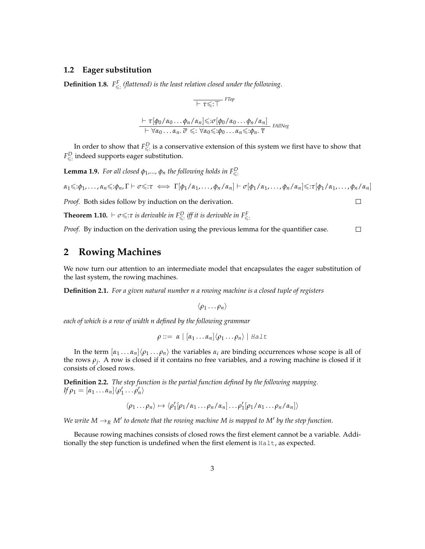#### **1.2 Eager substitution**

**Definition 1.8.**  $F_{\leq z}^F$  (flattened) is the least relation closed under the following.

$$
\frac{\top \tau \leq T}{\top \tau \leq \top}^{FTop}
$$
\n
$$
\frac{\top \tau [\phi_0/\alpha_0 \dots \phi_n/\alpha_n] \leq \tau [\phi_0/\alpha_0 \dots \phi_n/\alpha_n]}{\top \forall \alpha_0 \dots \alpha_n. \overline{\sigma} \leq \top \forall \alpha_0 \leq \tau \phi_0 \dots \alpha_n \leq \tau \phi_n. \overline{\tau}}_{FAllNeg}
$$

In order to show that  $F_{\leqslant}^D$  is a conservative extension of this system we first have to show that  $F^D_{\leqslant}$  indeed supports eager substitution.

**Lemma 1.9.** *For all closed*  $φ_1, ..., φ_n$  *the following holds in*  $F^D_{\leq \mathbb{R}}$ 

$$
\alpha_1 \leq \phi_1, \ldots, \alpha_n \leq \phi_n, \Gamma \vdash \sigma \leq \tau \iff \Gamma[\phi_1/\alpha_1, \ldots, \phi_n/\alpha_n] \vdash \sigma[\phi_1/\alpha_1, \ldots, \phi_n/\alpha_n] \leq \tau[\phi_1/\alpha_1, \ldots, \phi_n/\alpha_n]
$$

 $\Box$ 

*Proof.* Both sides follow by induction on the derivation.

**Theorem 1.10.**  $\vdash \sigma \leq \tau$  *is derivable in*  $F_{\leq \tau}^D$  *iff it is derivable in*  $F_{\leq \tau}^F$ 

*Proof.* By induction on the derivation using the previous lemma for the quantifier case.  $\Box$ 

### **2 Rowing Machines**

We now turn our attention to an intermediate model that encapsulates the eager substitution of the last system, the rowing machines.

**Definition 2.1.** *For a given natural number n a rowing machine is a closed tuple of registers*

$$
\langle \rho_1 \dots \rho_n \rangle
$$

*each of which is a row of width n defined by the following grammar*

$$
\rho ::= \alpha \mid [\alpha_1 \ldots \alpha_n] \langle \rho_1 \ldots \rho_n \rangle \mid \text{Hall}
$$

In the term  $[\alpha_1 \dots \alpha_n]\langle \rho_1 \dots \rho_n \rangle$  the variables  $\alpha_i$  are binding occurrences whose scope is all of the rows *ρ<sup>j</sup>* . A row is closed if it contains no free variables, and a rowing machine is closed if it consists of closed rows.

**Definition 2.2.** *The step function is the partial function defined by the following mapping.*  $\iint \rho_1 = [\alpha_1 \dots \alpha_n] \langle \rho'_1 \dots \rho'_n \rangle$ 

$$
\langle \rho_1 \dots \rho_n \rangle \mapsto \langle \rho'_1[\rho_1/\alpha_1 \dots \rho_n/\alpha_n] \dots \rho'_1[\rho_1/\alpha_1 \dots \rho_n/\alpha_n] \rangle
$$

We write  $M \to_R M'$  to denote that the rowing machine M is mapped to M' by the step function.

Because rowing machines consists of closed rows the first element cannot be a variable. Additionally the step function is undefined when the first element is Halt, as expected.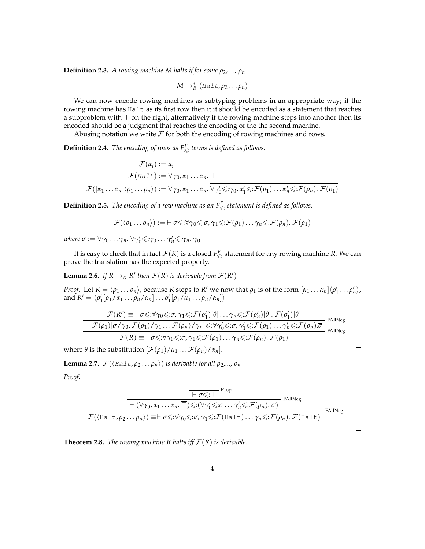**Definition 2.3.** *A rowing machine M halts if for some*  $\rho_2$ , ...,  $\rho_n$ 

 $M \rightarrow_R^* \langle \textit{Hallt}, \rho_2 \dots \rho_n \rangle$ 

We can now encode rowing machines as subtyping problems in an appropriate way; if the rowing machine has Halt as its first row then it it should be encoded as a statement that reaches a subproblem with  $\top$  on the right, alternatively if the rowing machine steps into another then its encoded should be a judgment that reaches the encoding of the the second machine.

Abusing notation we write  $\mathcal F$  for both the encoding of rowing machines and rows.

**Definition 2.4.** *The encoding of rows as*  $F^F_{\leq 1}$  *terms is defined as follows.* 

$$
\mathcal{F}(\alpha_i) := \alpha_i
$$
  
\n
$$
\mathcal{F}(Ha \perp t) := \forall \gamma_0, \alpha_1 \dots \alpha_n. \overline{\top}
$$
  
\n
$$
\mathcal{F}([\alpha_1 \dots \alpha_n] \langle \rho_1 \dots \rho_n \rangle) := \forall \gamma_0, \alpha_1 \dots \alpha_n. \overline{\forall \gamma_0' \leq \gamma_0, \alpha_1' \leq \neg \mathcal{F}(\rho_1) \dots \alpha_n' \leq \neg \mathcal{F}(\rho_n). \overline{\mathcal{F}(\rho_1)}}
$$

**Definition 2.5.** *The encoding of a row machine as an*  $F_{\leq z}^F$  *statement is defined as follows.* 

$$
\mathcal{F}(\langle \rho_1 \dots \rho_n \rangle) := \vdash \sigma \leq \forall \gamma_0 \leq \vdots \sigma, \gamma_1 \leq \vdots \mathcal{F}(\rho_1) \dots \gamma_n \leq \vdots \mathcal{F}(\rho_n). \overline{\mathcal{F}(\rho_1)}
$$

*where*  $\sigma := \forall \gamma_0 \ldots \gamma_n$ .  $\overline{\forall \gamma'_0 \leqslant : \gamma_0 \ldots \gamma'_n \leqslant : \gamma_n$ .  $\overline{\gamma_0}$ 

It is easy to check that in fact  $\mathcal{F}(R)$  is a closed  $F_{\leqslant}^F$  statement for any rowing machine  $R$ . We can prove the translation has the expected property.

**Lemma 2.6.** If  $R \to_R R'$  then  $\mathcal{F}(R)$  is derivable from  $\mathcal{F}(R')$ 

*Proof.* Let  $R = \langle \rho_1 \dots \rho_n \rangle$ , because *R* steps to *R'* we now that  $\rho_1$  is of the form  $[\alpha_1 \dots \alpha_n] \langle \rho'_1 \dots \rho'_n \rangle$ , and  $R' = \langle \rho'_1[\rho_1/\alpha_1 \dots \rho_n/\alpha_n] \dots \rho'_1[\rho_1/\alpha_1 \dots \rho_n/\alpha_n] \rangle$ 

$$
\frac{\mathcal{F}(R') \equiv \vdash \sigma \leq \vdots \forall \gamma_0 \leq \vdots \sigma, \gamma_1 \leq \vdots \mathcal{F}(\rho'_1)[\theta] \dots \gamma_n \leq \vdots \mathcal{F}(\rho'_n)[\theta] \cdot \overline{\mathcal{F}(\rho'_1)[\theta]}}{\vdash \mathcal{F}(\rho_1)[\sigma/\gamma_0, \mathcal{F}(\rho_1)/\gamma_1 \dots \mathcal{F}(\rho_n)/\gamma_n] \leq \vdots \forall \gamma'_0 \leq \vdots \sigma, \gamma'_1 \leq \vdots \mathcal{F}(\rho_1) \dots \gamma'_n \leq \vdots \mathcal{F}(\rho_n) \cdot \overline{\sigma}}{\mathcal{F}(R) \equiv \vdash \sigma \leq \vdots \forall \gamma_0 \leq \vdots \sigma, \gamma_1 \leq \vdots \mathcal{F}(\rho_1) \dots \gamma_n \leq \vdots \mathcal{F}(\rho_n) \cdot \overline{\mathcal{F}(\rho_1)}} \text{FAllNeg}
$$

 $\Box$ 

 $\Box$ 

where  $\theta$  is the substitution  $[\mathcal{F}(\rho_1)/\alpha_1 \dots \mathcal{F}(\rho_n)/\alpha_n]$ .

**Lemma 2.7.**  $\mathcal{F}(\langle \text{Half}, \rho_2 \dots \rho_n \rangle)$  *is derivable for all*  $\rho_2, \dots, \rho_n$ 

*Proof.*

$$
\frac{\overline{\vdash \sigma \leq \vdots \top}^{\text{FTop}}}{\vdash (\forall \gamma_0, \alpha_1 \ldots \alpha_n. \overline{\top}) \leq \vdots (\forall \gamma_0' \leq \sigma \ldots \gamma_n' \leq \vdots \mathcal{F}(\rho_n). \overline{\sigma})}^{\text{FAllNeg}}
$$
\n
$$
\mathcal{F}(\langle \text{Half}, \rho_2 \ldots \rho_n \rangle) \equiv \vdash \sigma \leq \vdots \forall \gamma_0 \leq \vdots \sigma, \gamma_1 \leq \vdots \mathcal{F}(\text{Half}) \ldots \gamma_n \leq \vdots \mathcal{F}(\rho_n). \overline{\mathcal{F}(\text{Half})}^{\text{FAllNeg}}
$$

**Theorem 2.8.** *The rowing machine R halts iff*  $\mathcal{F}(R)$  *is derivable.*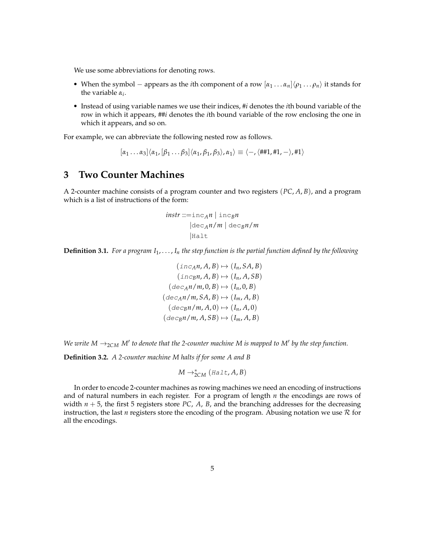We use some abbreviations for denoting rows.

- When the symbol appears as the *i*th component of a row  $[\alpha_1 \dots \alpha_n]\langle \rho_1 \dots \rho_n \rangle$  it stands for the variable *α<sup>i</sup>* .
- Instead of using variable names we use their indices, #*i* denotes the *i*th bound variable of the row in which it appears, ##*i* denotes the *i*th bound variable of the row enclosing the one in which it appears, and so on.

For example, we can abbreviate the following nested row as follows.

$$
[\alpha_1 \ldots \alpha_3] \langle \alpha_1, [\beta_1 \ldots \beta_3] \langle \alpha_1, \beta_1, \beta_3 \rangle, \alpha_1 \rangle \equiv \langle -, \langle \text{#} \text{#}1, \text{#}1, - \rangle, \text{#}1 \rangle
$$

#### **3 Two Counter Machines**

A 2-counter machine consists of a program counter and two registers (*PC*, *A*, *B*), and a program which is a list of instructions of the form:

$$
instr ::= incAn | incBn
$$
  
\n|dec<sub>A</sub>n/m | dec<sub>B</sub>n/m  
\n|halt

**Definition 3.1.** *For a program I*1, . . . , *I<sup>n</sup> the step function is the partial function defined by the following*

$$
(inc_A n, A, B) \mapsto (I_n, SA, B)
$$

$$
(inc_B n, A, B) \mapsto (I_n, A, SB)
$$

$$
(dec_A n/m, 0, B) \mapsto (I_n, 0, B)
$$

$$
(dec_A n/m, SA, B) \mapsto (I_m, A, B)
$$

$$
(dec_B n/m, A, 0) \mapsto (I_n, A, 0)
$$

$$
(dec_B n/m, A, SB) \mapsto (I_m, A, B)
$$

We write  $M \rightarrow_{2CM} M'$  to denote that the 2-counter machine M is mapped to M' by the step function.

**Definition 3.2.** *A 2-counter machine M halts if for some A and B*

$$
M \rightarrow_{2CM}^{*} (Halt, A, B)
$$

In order to encode 2-counter machines as rowing machines we need an encoding of instructions and of natural numbers in each register. For a program of length *n* the encodings are rows of width  $n + 5$ , the first 5 registers store *PC*, *A*, *B*, and the branching addresses for the decreasing instruction, the last *n* registers store the encoding of the program. Abusing notation we use  $R$  for all the encodings.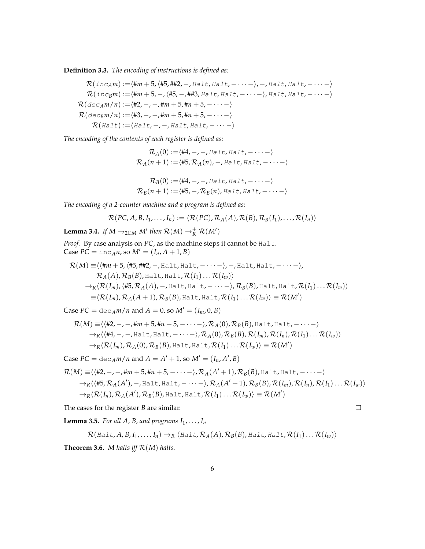**Definition 3.3.** *The encoding of instructions is defined as:*

$$
\mathcal{R}(inc_A m) := \langle \#m + 5, \langle \#5, \#42, -, \text{Halt}, \text{Halt}, - \cdots \rangle, -, \text{Halt}, \text{Halt}, - \cdots \rangle
$$
  
\n
$$
\mathcal{R}(inc_B m) := \langle \#m + 5, -, \langle \#5, -, \#43, \text{Halt}, \text{Halt}, - \cdots \rangle, \text{Halt}, \text{Halt}, - \cdots \rangle
$$
  
\n
$$
\mathcal{R}(dec_A m/n) := \langle \#2, -, -, \#m + 5, \#n + 5, - \cdots \rangle
$$
  
\n
$$
\mathcal{R}(dec_B m/n) := \langle \#3, -, -, \#m + 5, \#n + 5, - \cdots \rangle
$$
  
\n
$$
\mathcal{R}(halt) := \langle \text{Halt}, -, -, \text{Halt}, \text{Halt}, - \cdots \rangle
$$

*The encoding of the contents of each register is defined as:*

$$
\mathcal{R}_A(0) := \langle #4, -, -, \text{Halt}, \text{Halt}, - \cdots - \rangle
$$
  

$$
\mathcal{R}_A(n+1) := \langle #5, \mathcal{R}_A(n), -, \text{Halt}, \text{Halt}, - \cdots - \rangle
$$

$$
\mathcal{R}_B(0) := \langle #4, -, -, \text{Half}, \text{Half}, - \cdots - \rangle
$$
  

$$
\mathcal{R}_B(n+1) := \langle #5, -, \mathcal{R}_B(n), \text{Half}, \text{Half}, - \cdots - \rangle
$$

*The encoding of a 2-counter machine and a program is defined as:*

$$
\mathcal{R}(PC, A, B, I_1, \ldots, I_n) := \langle \mathcal{R}(PC), \mathcal{R}_A(A), \mathcal{R}(B), \mathcal{R}_B(I_1), \ldots, \mathcal{R}(I_n) \rangle
$$

**Lemma 3.4.** *If*  $M \rightarrow_{2CM} M'$  then  $\mathcal{R}(M) \rightarrow_R^+ \mathcal{R}(M')$ 

*Proof.* By case analysis on *PC*, as the machine steps it cannot be Halt.  $\text{Case } P\vec{C} = \text{inc}_A n$ , so  $M' = (I_n, A + 1, B)$ 

$$
\mathcal{R}(M) \equiv \langle \langle \text{Hm} + 5, \langle \text{H5}, \text{HH2}, -, \text{Half}, \text{halt}, - \cdots \rangle, -, \text{Half}, \text{Half}, - \cdots \rangle,
$$
  
\n
$$
\mathcal{R}_A(A), \mathcal{R}_B(B), \text{Half}, \text{Half}, \mathcal{R}(I_1) \dots \mathcal{R}(I_w) \rangle
$$
  
\n
$$
\rightarrow_R \langle \mathcal{R}(I_m), \langle \text{H5}, \mathcal{R}_A(A), -, \text{Half}, \text{Half}, - \cdots \rangle, \mathcal{R}_B(B), \text{Half}, \text{Half}, \mathcal{R}(I_1) \dots \mathcal{R}(I_w) \rangle
$$
  
\n
$$
\equiv \langle \mathcal{R}(I_m), \mathcal{R}_A(A+1), \mathcal{R}_B(B), \text{Half}, \text{Half}, \mathcal{R}(I_1) \dots \mathcal{R}(I_w) \rangle \equiv \mathcal{R}(M')
$$

Case  $PC = \text{dec}_{A}m/n$  and  $A = 0$ , so  $M' = (I_m, 0, B)$ 

$$
\mathcal{R}(M) \equiv \langle \langle #2, -, -, \#m + 5, \#n + 5, - \cdots - \rangle, \mathcal{R}_A(0), \mathcal{R}_B(B), \text{Halt}, \text{Halt}, - \cdots - \rangle
$$
  
\n
$$
\rightarrow_R \langle \langle #4, -, -, \text{Halt}, \text{Halt}, - \cdots - \rangle, \mathcal{R}_A(0), \mathcal{R}_B(B), \mathcal{R}(I_m), \mathcal{R}(I_1) \dots \mathcal{R}(I_w) \rangle
$$
  
\n
$$
\rightarrow_R \langle \mathcal{R}(I_m), \mathcal{R}_A(0), \mathcal{R}_B(B), \text{Halt}, \text{Halt}, \mathcal{R}(I_1) \dots \mathcal{R}(I_w) \rangle \equiv \mathcal{R}(M')
$$

Case  $PC = \text{dec}_{A} m / n$  and  $A = A' + 1$ , so  $M' = (I_n, A', B)$ 

$$
\mathcal{R}(M) \equiv \langle \langle #2, -, -, \#m + 5, \#n + 5, - \cdots - \rangle, \mathcal{R}_A(A' + 1), \mathcal{R}_B(B), \text{Halt}, \text{Halt}, - \cdots - \rangle
$$
  
\n
$$
\rightarrow_R \langle \langle #5, \mathcal{R}_A(A'), -, \text{Halt}, \text{Halt}, - \cdots - \rangle, \mathcal{R}_A(A' + 1), \mathcal{R}_B(B), \mathcal{R}(I_m), \mathcal{R}(I_1), \dots \mathcal{R}(I_w) \rangle
$$
  
\n
$$
\rightarrow_R \langle \mathcal{R}(I_n), \mathcal{R}_A(A'), \mathcal{R}_B(B), \text{Halt}, \text{Halt}, \mathcal{R}(I_1) \dots \mathcal{R}(I_w) \rangle \equiv \mathcal{R}(M')
$$

 $\Box$ 

The cases for the register *B* are similar.

**Lemma 3.5.** *For all A, B, and programs*  $I_1, \ldots, I_n$ 

$$
\mathcal{R}(Halt, A, B, I_1, \ldots, I_n) \rightarrow_R \langle Halt, \mathcal{R}_A(A), \mathcal{R}_B(B), Halt, Halt, \mathcal{R}(I_1) \ldots \mathcal{R}(I_w) \rangle
$$

**Theorem 3.6.** *M halts iff*  $\mathcal{R}(M)$  *halts.*